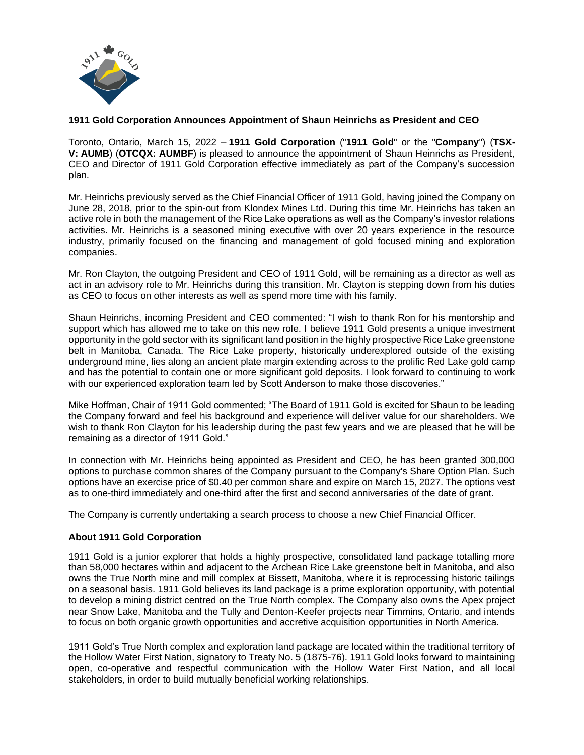

## **1911 Gold Corporation Announces Appointment of Shaun Heinrichs as President and CEO**

Toronto, Ontario, March 15, 2022 – **1911 Gold Corporation** ("**1911 Gold**" or the "**Company**") (**TSX-V: AUMB**) (**OTCQX: AUMBF**) is pleased to announce the appointment of Shaun Heinrichs as President, CEO and Director of 1911 Gold Corporation effective immediately as part of the Company's succession plan.

Mr. Heinrichs previously served as the Chief Financial Officer of 1911 Gold, having joined the Company on June 28, 2018, prior to the spin-out from Klondex Mines Ltd. During this time Mr. Heinrichs has taken an active role in both the management of the Rice Lake operations as well as the Company's investor relations activities. Mr. Heinrichs is a seasoned mining executive with over 20 years experience in the resource industry, primarily focused on the financing and management of gold focused mining and exploration companies.

Mr. Ron Clayton, the outgoing President and CEO of 1911 Gold, will be remaining as a director as well as act in an advisory role to Mr. Heinrichs during this transition. Mr. Clayton is stepping down from his duties as CEO to focus on other interests as well as spend more time with his family.

Shaun Heinrichs, incoming President and CEO commented: "I wish to thank Ron for his mentorship and support which has allowed me to take on this new role. I believe 1911 Gold presents a unique investment opportunity inthe gold sector with its significant land position in the highly prospective Rice Lake greenstone belt in Manitoba, Canada. The Rice Lake property, historically underexplored outside of the existing underground mine, lies along an ancient plate margin extending across to the prolific Red Lake gold camp and has the potential to contain one or more significant gold deposits. I look forward to continuing to work with our experienced exploration team led by Scott Anderson to make those discoveries."

Mike Hoffman, Chair of 1911 Gold commented; "The Board of 1911 Gold is excited for Shaun to be leading the Company forward and feel his background and experience will deliver value for our shareholders. We wish to thank Ron Clayton for his leadership during the past few years and we are pleased that he will be remaining as a director of 1911 Gold."

In connection with Mr. Heinrichs being appointed as President and CEO, he has been granted 300,000 options to purchase common shares of the Company pursuant to the Company's Share Option Plan. Such options have an exercise price of \$0.40 per common share and expire on March 15, 2027. The options vest as to one-third immediately and one-third after the first and second anniversaries of the date of grant.

The Company is currently undertaking a search process to choose a new Chief Financial Officer.

## **About 1911 Gold Corporation**

1911 Gold is a junior explorer that holds a highly prospective, consolidated land package totalling more than 58,000 hectares within and adjacent to the Archean Rice Lake greenstone belt in Manitoba, and also owns the True North mine and mill complex at Bissett, Manitoba, where it is reprocessing historic tailings on a seasonal basis. 1911 Gold believes its land package is a prime exploration opportunity, with potential to develop a mining district centred on the True North complex. The Company also owns the Apex project near Snow Lake, Manitoba and the Tully and Denton-Keefer projects near Timmins, Ontario, and intends to focus on both organic growth opportunities and accretive acquisition opportunities in North America.

1911 Gold's True North complex and exploration land package are located within the traditional territory of the Hollow Water First Nation, signatory to Treaty No. 5 (1875-76). 1911 Gold looks forward to maintaining open, co-operative and respectful communication with the Hollow Water First Nation, and all local stakeholders, in order to build mutually beneficial working relationships.